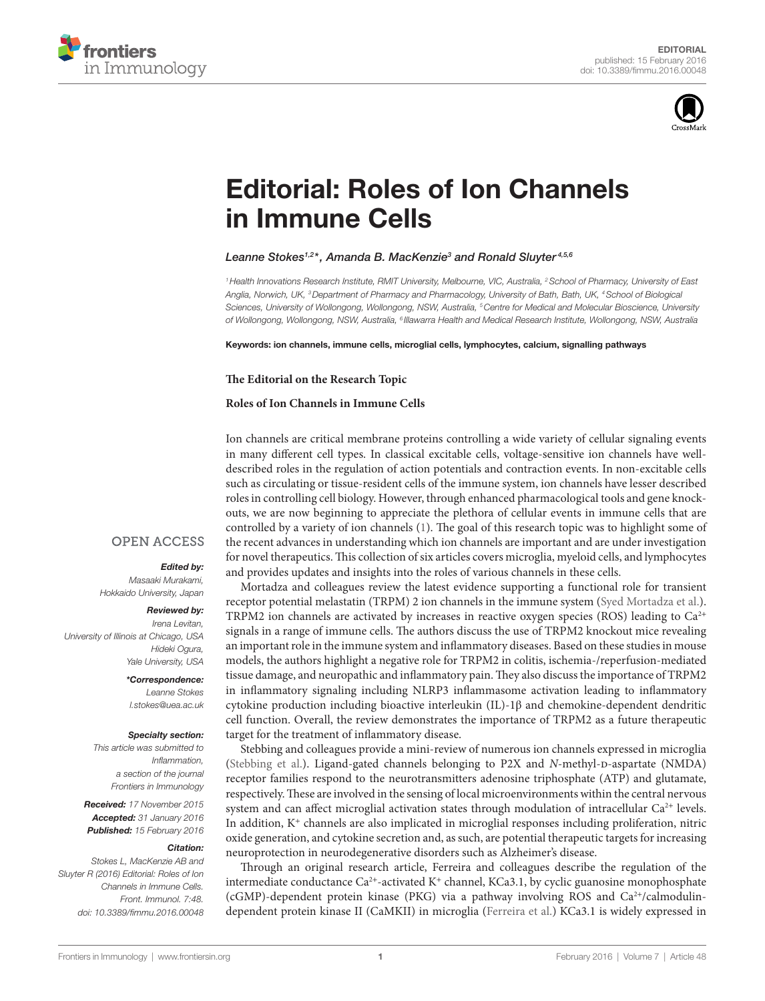



# **Editorial: Roles of Ion Channels** [in immune Cells](http://www.frontiersin.org/Journal/10.3389/fimmu.2016.00048/abstract)

### *[Leanne Stokes](http://loop.frontiersin.org/people/142790/overview)1,2 \*, [Amanda B. MacKenzie3](http://loop.frontiersin.org/people/32251/overview) and [Ronald Sluyter](http://loop.frontiersin.org/people/162696/overview) 4,5,6*

*1Health Innovations Research Institute, RMIT University, Melbourne, VIC, Australia, 2School of Pharmacy, University of East Anglia, Norwich, UK, 3Department of Pharmacy and Pharmacology, University of Bath, Bath, UK, 4School of Biological Sciences, University of Wollongong, Wollongong, NSW, Australia, 5Centre for Medical and Molecular Bioscience, University of Wollongong, Wollongong, NSW, Australia, 6 Illawarra Health and Medical Research Institute, Wollongong, NSW, Australia*

Keywords: ion channels, immune cells, microglial cells, lymphocytes, calcium, signalling pathways

#### **The Editorial on the Research Topic**

#### **[Roles of Ion Channels in Immune Cells](http://journal.frontiersin.org//ResearchTopic/3029)**

Ion channels are critical membrane proteins controlling a wide variety of cellular signaling events in many different cell types. In classical excitable cells, voltage-sensitive ion channels have welldescribed roles in the regulation of action potentials and contraction events. In non-excitable cells such as circulating or tissue-resident cells of the immune system, ion channels have lesser described roles in controlling cell biology. However, through enhanced pharmacological tools and gene knockouts, we are now beginning to appreciate the plethora of cellular events in immune cells that are controlled by a variety of ion channels [\(1\)](#page-1-0). The goal of this research topic was to highlight some of the recent advances in understanding which ion channels are important and are under investigation for novel therapeutics. This collection of six articles covers microglia, myeloid cells, and lymphocytes and provides updates and insights into the roles of various channels in these cells.

Mortadza and colleagues review the latest evidence supporting a functional role for transient receptor potential melastatin (TRPM) 2 ion channels in the immune system ([Syed Mortadza et al.](http://dx.doi.org/10.3389/fimmu.2015.00407)). TRPM2 ion channels are activated by increases in reactive oxygen species (ROS) leading to  $Ca^{2+}$ signals in a range of immune cells. The authors discuss the use of TRPM2 knockout mice revealing an important role in the immune system and inflammatory diseases. Based on these studies in mouse models, the authors highlight a negative role for TRPM2 in colitis, ischemia-/reperfusion-mediated tissue damage, and neuropathic and inflammatory pain. They also discuss the importance of TRPM2 in inflammatory signaling including NLRP3 inflammasome activation leading to inflammatory cytokine production including bioactive interleukin (IL)-1β and chemokine-dependent dendritic cell function. Overall, the review demonstrates the importance of TRPM2 as a future therapeutic target for the treatment of inflammatory disease.

Stebbing and colleagues provide a mini-review of numerous ion channels expressed in microglia (Stebbing et al.). Ligand-gated channels belonging to P2X and *N*-methyl-D-aspartate (NMDA) receptor families respond to the neurotransmitters adenosine triphosphate (ATP) and glutamate, respectively. These are involved in the sensing of local microenvironments within the central nervous system and can affect microglial activation states through modulation of intracellular  $Ca^{2+}$  levels. In addition,  $K^+$  channels are also implicated in microglial responses including proliferation, nitric oxide generation, and cytokine secretion and, as such, are potential therapeutic targets for increasing neuroprotection in neurodegenerative disorders such as Alzheimer's disease.

Through an original research article, Ferreira and colleagues describe the regulation of the intermediate conductance Ca<sup>2+</sup>-activated K<sup>+</sup> channel, KCa3.1, by cyclic guanosine monophosphate (cGMP)-dependent protein kinase (PKG) via a pathway involving ROS and  $Ca^{2+}/cal$ calmodulindependent protein kinase II (CaMKII) in microglia ([Ferreira et al.\)](http://dx.doi.org/10.3389/fimmu.2015.00153) KCa3.1 is widely expressed in

## **OPEN ACCESS**

#### *Edited by:*

*Masaaki Murakami, Hokkaido University, Japan*

#### *Reviewed by:*

*Irena Levitan, University of Illinois at Chicago, USA Hideki Ogura, Yale University, USA*

#### *\*Correspondence:*

*Leanne Stokes [l.stokes@uea.ac.uk](mailto:l.stokes@uea.ac.uk)*

#### *Specialty section:*

*This article was submitted to Inflammation, a section of the journal Frontiers in Immunology*

*Received: 17 November 2015 Accepted: 31 January 2016 Published: 15 February 2016*

#### *Citation:*

*Stokes L, MacKenzie AB and Sluyter R (2016) Editorial: Roles of Ion Channels in Immune Cells. Front. Immunol. 7:48. doi: [10.3389/fimmu.2016.00048](http://dx.doi.org/10.3389/fimmu.2016.00048)*